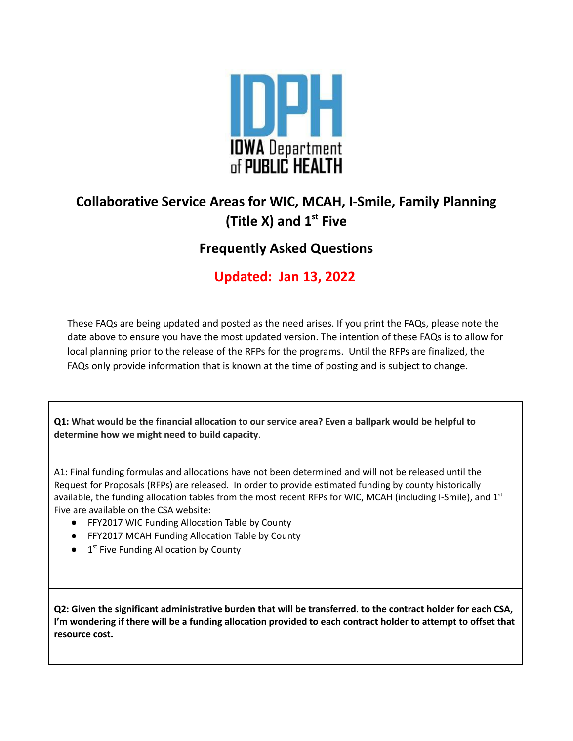

# **Collaborative Service Areas for WIC, MCAH, I-Smile, Family Planning (Title X) and 1 st Five**

## **Frequently Asked Questions**

**Updated: Jan 13, 2022**

These FAQs are being updated and posted as the need arises. If you print the FAQs, please note the date above to ensure you have the most updated version. The intention of these FAQs is to allow for local planning prior to the release of the RFPs for the programs. Until the RFPs are finalized, the FAQs only provide information that is known at the time of posting and is subject to change.

Q1: What would be the financial allocation to our service area? Even a ballpark would be helpful to **determine how we might need to build capacity**.

A1: Final funding formulas and allocations have not been determined and will not be released until the Request for Proposals (RFPs) are released. In order to provide estimated funding by county historically available, the funding allocation tables from the most recent RFPs for WIC, MCAH (including I-Smile), and  $1<sup>st</sup>$ Five are available on the CSA website:

- FFY2017 WIC Funding Allocation Table by County
- FFY2017 MCAH Funding Allocation Table by County
- $\bullet$  1<sup>st</sup> Five Funding Allocation by County

Q2: Given the significant administrative burden that will be transferred. to the contract holder for each CSA, I'm wondering if there will be a funding allocation provided to each contract holder to attempt to offset that **resource cost.**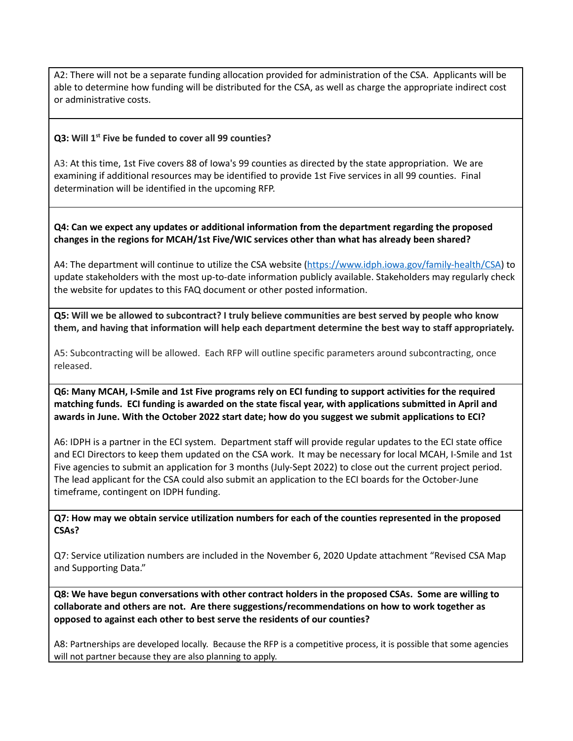A2: There will not be a separate funding allocation provided for administration of the CSA. Applicants will be able to determine how funding will be distributed for the CSA, as well as charge the appropriate indirect cost or administrative costs.

### **Q3: Will 1 st Five be funded to cover all 99 counties?**

A3: At this time, 1st Five covers 88 of Iowa's 99 counties as directed by the state appropriation. We are examining if additional resources may be identified to provide 1st Five services in all 99 counties. Final determination will be identified in the upcoming RFP.

#### **Q4: Can we expect any updates or additional information from the department regarding the proposed changes in the regions for MCAH/1st Five/WIC services other than what has already been shared?**

A4: The department will continue to utilize the CSA website [\(https://www.idph.iowa.gov/family-health/CSA\)](https://www.idph.iowa.gov/family-health/CSA) to update stakeholders with the most up-to-date information publicly available. Stakeholders may regularly check the website for updates to this FAQ document or other posted information.

Q5: Will we be allowed to subcontract? I truly believe communities are best served by people who know **them, and having that information will help each department determine the best way to staff appropriately.**

A5: Subcontracting will be allowed. Each RFP will outline specific parameters around subcontracting, once released.

Q6: Many MCAH, I-Smile and 1st Five programs rely on ECI funding to support activities for the required **matching funds. ECI funding is awarded on the state fiscal year, with applications submitted in April and** awards in June. With the October 2022 start date; how do you suggest we submit applications to ECI?

A6: IDPH is a partner in the ECI system. Department staff will provide regular updates to the ECI state office and ECI Directors to keep them updated on the CSA work. It may be necessary for local MCAH, I-Smile and 1st Five agencies to submit an application for 3 months (July-Sept 2022) to close out the current project period. The lead applicant for the CSA could also submit an application to the ECI boards for the October-June timeframe, contingent on IDPH funding.

**Q7: How may we obtain service utilization numbers for each of the counties represented in the proposed CSAs?**

Q7: Service utilization numbers are included in the November 6, 2020 Update attachment "Revised CSA Map and Supporting Data."

**Q8: We have begun conversations with other contract holders in the proposed CSAs. Some are willing to collaborate and others are not. Are there suggestions/recommendations on how to work together as opposed to against each other to best serve the residents of our counties?**

A8: Partnerships are developed locally. Because the RFP is a competitive process, it is possible that some agencies will not partner because they are also planning to apply.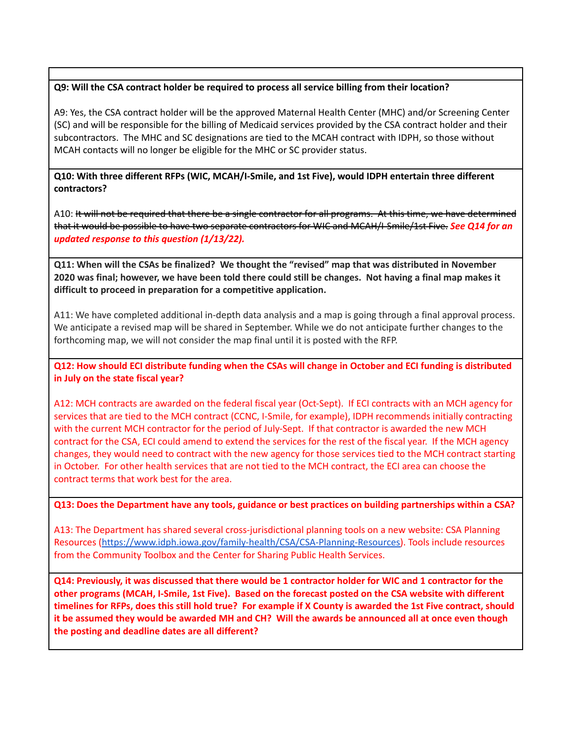### **Q9: Will the CSA contract holder be required to process all service billing from their location?**

A9: Yes, the CSA contract holder will be the approved Maternal Health Center (MHC) and/or Screening Center (SC) and will be responsible for the billing of Medicaid services provided by the CSA contract holder and their subcontractors. The MHC and SC designations are tied to the MCAH contract with IDPH, so those without MCAH contacts will no longer be eligible for the MHC or SC provider status.

### **Q10: With three different RFPs (WIC, MCAH/I-Smile, and 1st Five), would IDPH entertain three different contractors?**

A10: It will not be required that there be a single contractor for all programs. At this time, we have determined that it would be possible to have two separate contractors for WIC and MCAH/I-Smile/1st Five. *See Q14 for an updated response to this question (1/13/22).*

**Q11: When will the CSAs be finalized? We thought the "revised" map that was distributed in November** 2020 was final; however, we have been told there could still be changes. Not having a final map makes it **difficult to proceed in preparation for a competitive application.**

A11: We have completed additional in-depth data analysis and a map is going through a final approval process. We anticipate a revised map will be shared in September. While we do not anticipate further changes to the forthcoming map, we will not consider the map final until it is posted with the RFP.

Q12: How should ECI distribute funding when the CSAs will change in October and ECI funding is distributed **in July on the state fiscal year?**

A12: MCH contracts are awarded on the federal fiscal year (Oct-Sept). If ECI contracts with an MCH agency for services that are tied to the MCH contract (CCNC, I-Smile, for example), IDPH recommends initially contracting with the current MCH contractor for the period of July-Sept. If that contractor is awarded the new MCH contract for the CSA, ECI could amend to extend the services for the rest of the fiscal year. If the MCH agency changes, they would need to contract with the new agency for those services tied to the MCH contract starting in October. For other health services that are not tied to the MCH contract, the ECI area can choose the contract terms that work best for the area.

#### Q13: Does the Department have any tools, guidance or best practices on building partnerships within a CSA?

A13: The Department has shared several cross-jurisdictional planning tools on a new website: CSA Planning Resources ([https://www.idph.iowa.gov/family-health/CSA/CSA-Planning-Resources\)](https://www.idph.iowa.gov/family-health/CSA/CSA-Planning-Resources). Tools include resources from the Community Toolbox and the Center for Sharing Public Health Services.

Q14: Previously, it was discussed that there would be 1 contractor holder for WIC and 1 contractor for the **other programs (MCAH, I-Smile, 1st Five). Based on the forecast posted on the CSA website with different** timelines for RFPs, does this still hold true? For example if X County is awarded the 1st Five contract, should it be assumed they would be awarded MH and CH? Will the awards be announced all at once even though **the posting and deadline dates are all different?**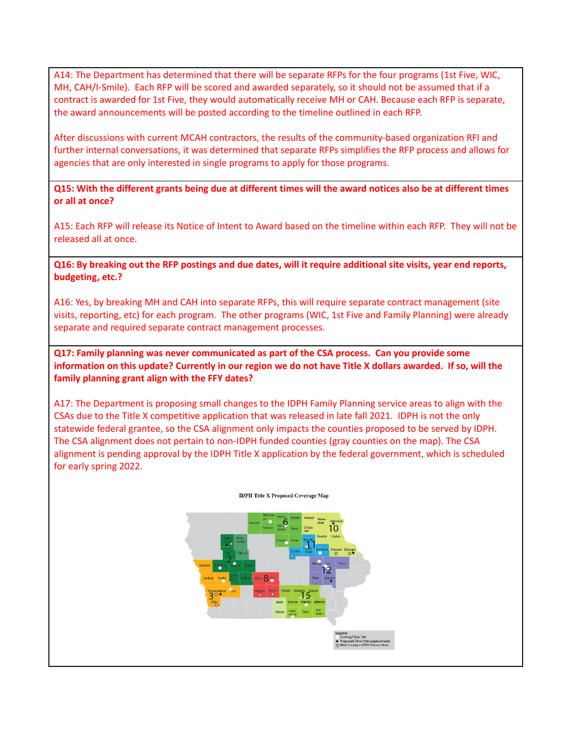A14: The Department has determined that there will be separate RFPs for the four programs (1st Five, WIC, MH, CAH/I-Smile). Each RFP will be scored and awarded separately, so it should not be assumed that if a contract is awarded for 1st Five, they would automatically receive MH or CAH. Because each RFP is separate, the award announcements will be posted according to the timeline outlined in each RFP.

After discussions with current MCAH contractors, the results of the community-based organization RFI and further internal conversations, it was determined that separate RFPs simplifies the RFP process and allows for agencies that are only interested in single programs to apply for those programs.

Q15: With the different grants being due at different times will the award notices also be at different times **or all at once?**

A15: Each RFP will release its Notice of Intent to Award based on the timeline within each RFP. They will not be released all at once.

Q16: By breaking out the RFP postings and due dates, will it require additional site visits, year end reports, **budgeting, etc.?**

A16: Yes, by breaking MH and CAH into separate RFPs, this will require separate contract management (site visits, reporting, etc) for each program. The other programs (WIC, 1st Five and Family Planning) were already separate and required separate contract management processes.

**Q17: Family planning was never communicated as part of the CSA process. Can you provide some** information on this update? Currently in our region we do not have Title X dollars awarded. If so, will the **family planning grant align with the FFY dates?**

A17: The Department is proposing small changes to the IDPH Family Planning service areas to align with the CSAs due to the Title X competitive application that was released in late fall 2021. IDPH is not the only statewide federal grantee, so the CSA alignment only impacts the counties proposed to be served by IDPH. The CSA alignment does not pertain to non-IDPH funded counties (gray counties on the map). The CSA alignment is pending approval by the IDPH Title X application by the federal government, which is scheduled for early spring 2022.